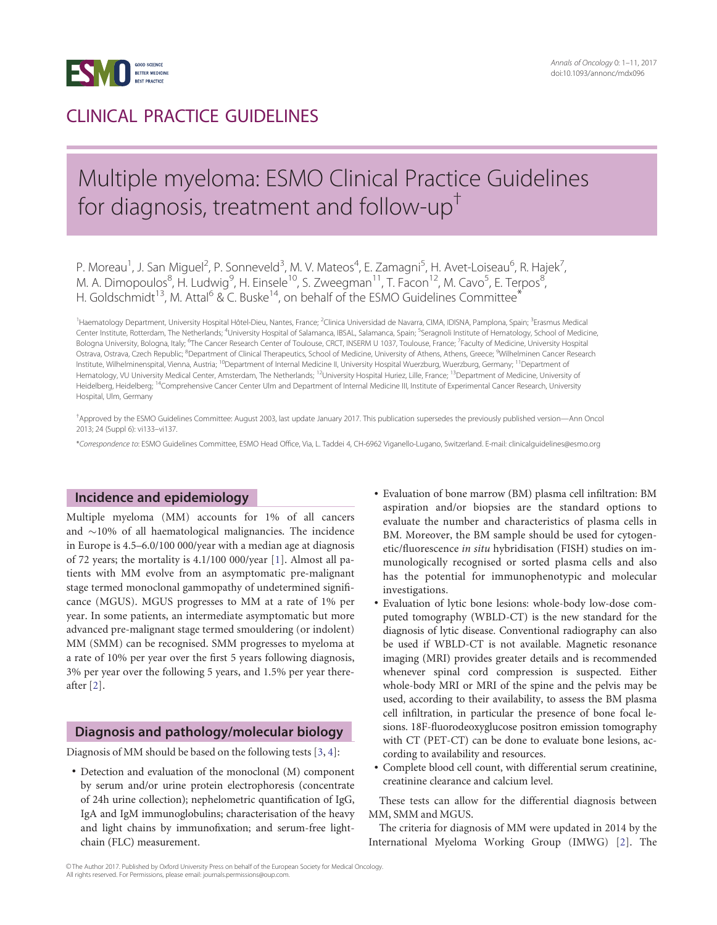

### CLINICAL PRACTICE GUIDELINES

### Multiple myeloma: ESMO Clinical Practice Guidelines for diagnosis, treatment and follow-up<sup>+</sup>

P. Moreau<sup>1</sup>, J. San Miguel<sup>2</sup>, P. Sonneveld<sup>3</sup>, M. V. Mateos<sup>4</sup>, E. Zamagni<sup>5</sup>, H. Avet-Loiseau<sup>6</sup>, R. Hajek<sup>7</sup> , M. A. Dimopoulos<sup>8</sup>, H. Ludwig<sup>9</sup>, H. Einsele<sup>10</sup>, S. Zweegman<sup>11</sup>, T. Facon<sup>12</sup>, M. Cavo<sup>5</sup>, E. Terpos<sup>8</sup> ;<br>, H. Goldschmidt<sup>13</sup>, M. Attal<sup>6</sup> & C. Buske<sup>14</sup>, on behalf of the ESMO Guidelines Committee<sup>\*</sup>

<sup>1</sup> Haematology Department, University Hospital Hôtel-Dieu, Nantes, France; <sup>2</sup>Clinica Universidad de Navarra, CIMA, IDISNA, Pamplona, Spain; <sup>3</sup>Erasmus Medical Center Institute, Rotterdam, The Netherlands; <sup>4</sup>University Hospital of Salamanca, IBSAL, Salamanca, Spain; <sup>5</sup>Seragnoli Institute of Hematology, School of Medicine Bologna University, Bologna, Italy; <sup>6</sup>The Cancer Research Center of Toulouse, CRCT, INSERM U 1037, Toulouse, France; <sup>7</sup>Faculty of Medicine, University Hospital Ostrava, Ostrava, Czech Republic; <sup>8</sup>Department of Clinical Therapeutics, School of Medicine, University of Athens, Athens, Greece; <sup>9</sup>Wilhelminen Cancer Research Institute, Wilhelminenspital, Vienna, Austria; <sup>10</sup>Department of Internal Medicine II, University Hospital Wuerzburg, Wuerzburg, Germany; <sup>11</sup>Department of Hematology, VU University Medical Center, Amsterdam, The Netherlands; <sup>12</sup>University Hospital Huriez, Lille, France; <sup>13</sup>Department of Medicine, University of Heidelberg, Heidelberg; <sup>14</sup>Comprehensive Cancer Center Ulm and Department of Internal Medicine III, Institute of Experimental Cancer Research, University Hospital, Ulm, Germany

† Approved by the ESMO Guidelines Committee: August 2003, last update January 2017. This publication supersedes the previously published version—Ann Oncol 2013; 24 (Suppl 6): vi133–vi137.

\*Correspondence to: ESMO Guidelines Committee, ESMO Head Office, Via, L. Taddei 4, CH-6962 Viganello-Lugano, Switzerland. E-mail: clinicalguidelines@esmo.org

#### Incidence and epidemiology

Multiple myeloma (MM) accounts for 1% of all cancers and  $\sim$ 10% of all haematological malignancies. The incidence in Europe is 4.5–6.0/100 000/year with a median age at diagnosis of 72 years; the mortality is 4.1/100 000/year [[1\]](#page-8-0). Almost all patients with MM evolve from an asymptomatic pre-malignant stage termed monoclonal gammopathy of undetermined significance (MGUS). MGUS progresses to MM at a rate of 1% per year. In some patients, an intermediate asymptomatic but more advanced pre-malignant stage termed smouldering (or indolent) MM (SMM) can be recognised. SMM progresses to myeloma at a rate of 10% per year over the first 5 years following diagnosis, 3% per year over the following 5 years, and 1.5% per year thereafter [\[2\]](#page-9-0).

#### Diagnosis and pathology/molecular biology

Diagnosis of MM should be based on the following tests [\[3](#page-9-0), [4\]](#page-9-0):

• Detection and evaluation of the monoclonal (M) component by serum and/or urine protein electrophoresis (concentrate of 24h urine collection); nephelometric quantification of IgG, IgA and IgM immunoglobulins; characterisation of the heavy and light chains by immunofixation; and serum-free lightchain (FLC) measurement.

- Evaluation of bone marrow (BM) plasma cell infiltration: BM aspiration and/or biopsies are the standard options to evaluate the number and characteristics of plasma cells in BM. Moreover, the BM sample should be used for cytogenetic/fluorescence in situ hybridisation (FISH) studies on immunologically recognised or sorted plasma cells and also has the potential for immunophenotypic and molecular investigations.
- Evaluation of lytic bone lesions: whole-body low-dose computed tomography (WBLD-CT) is the new standard for the diagnosis of lytic disease. Conventional radiography can also be used if WBLD-CT is not available. Magnetic resonance imaging (MRI) provides greater details and is recommended whenever spinal cord compression is suspected. Either whole-body MRI or MRI of the spine and the pelvis may be used, according to their availability, to assess the BM plasma cell infiltration, in particular the presence of bone focal lesions. 18F-fluorodeoxyglucose positron emission tomography with CT (PET-CT) can be done to evaluate bone lesions, according to availability and resources.
- Complete blood cell count, with differential serum creatinine, creatinine clearance and calcium level.

These tests can allow for the differential diagnosis between MM, SMM and MGUS.

The criteria for diagnosis of MM were updated in 2014 by the International Myeloma Working Group (IMWG) [[2](#page-9-0)]. The

© The Author 2017. Published by Oxford University Press on behalf of the European Society for Medical Oncology All rights reserved. For Permissions, please email: journals.permissions@oup.com.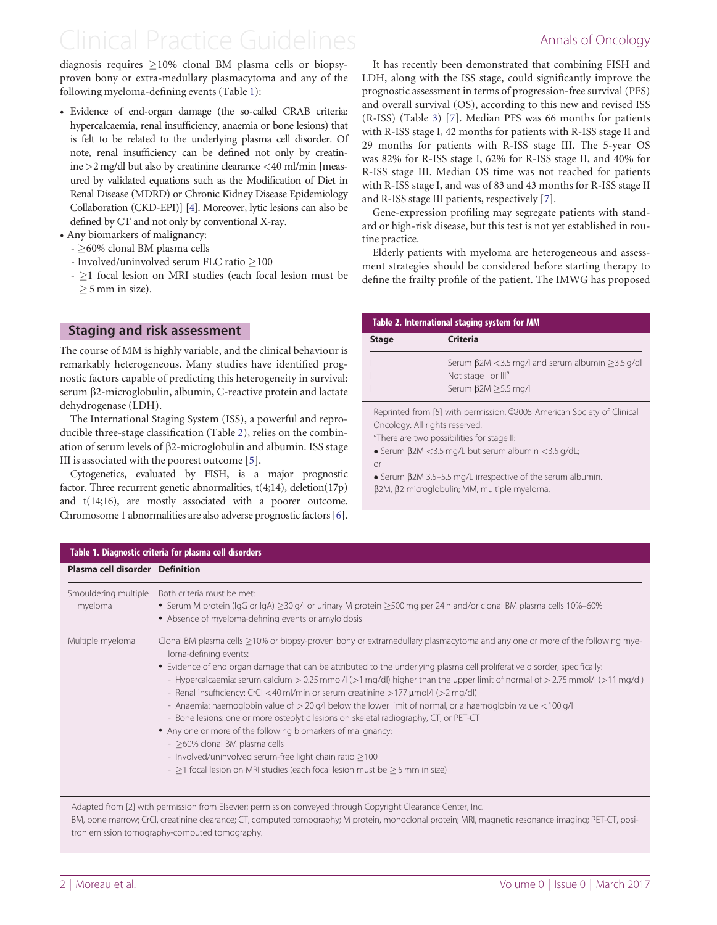diagnosis requires  $\geq$ 10% clonal BM plasma cells or biopsyproven bony or extra-medullary plasmacytoma and any of the following myeloma-defining events (Table 1):

- Evidence of end-organ damage (the so-called CRAB criteria: hypercalcaemia, renal insufficiency, anaemia or bone lesions) that is felt to be related to the underlying plasma cell disorder. Of note, renal insufficiency can be defined not only by creatinine>2 mg/dl but also by creatinine clearance <40 ml/min [measured by validated equations such as the Modification of Diet in Renal Disease (MDRD) or Chronic Kidney Disease Epidemiology Collaboration (CKD-EPI)] [[4](#page-9-0)]. Moreover, lytic lesions can also be defined by CT and not only by conventional X-ray.
- Any biomarkers of malignancy:
	- $\geq$  60% clonal BM plasma cells
	- Involved/uninvolved serum FLC ratio  $>$  100
	- $\geq 1$  focal lesion on MRI studies (each focal lesion must be  $>$  5 mm in size).

#### Staging and risk assessment

The course of MM is highly variable, and the clinical behaviour is remarkably heterogeneous. Many studies have identified prognostic factors capable of predicting this heterogeneity in survival: serum β2-microglobulin, albumin, C-reactive protein and lactate dehydrogenase (LDH).

The International Staging System (ISS), a powerful and reproducible three-stage classification (Table 2), relies on the combination of serum levels of  $\beta$ 2-microglobulin and albumin. ISS stage III is associated with the poorest outcome [[5](#page-9-0)].

Cytogenetics, evaluated by FISH, is a major prognostic factor. Three recurrent genetic abnormalities,  $t(4;14)$ , deletion $(17p)$ and t(14;16), are mostly associated with a poorer outcome. Chromosome 1 abnormalities are also adverse prognostic factors [\[6\]](#page-9-0).

It has recently been demonstrated that combining FISH and LDH, along with the ISS stage, could significantly improve the prognostic assessment in terms of progression-free survival (PFS) and overall survival (OS), according to this new and revised ISS (R-ISS) (Table [3\)](#page-2-0) [\[7\]](#page-9-0). Median PFS was 66 months for patients with R-ISS stage I, 42 months for patients with R-ISS stage II and 29 months for patients with R-ISS stage III. The 5-year OS was 82% for R-ISS stage I, 62% for R-ISS stage II, and 40% for R-ISS stage III. Median OS time was not reached for patients with R-ISS stage I, and was of 83 and 43 months for R-ISS stage II and R-ISS stage III patients, respectively [[7](#page-9-0)].

Gene-expression profiling may segregate patients with standard or high-risk disease, but this test is not yet established in routine practice.

Elderly patients with myeloma are heterogeneous and assessment strategies should be considered before starting therapy to define the frailty profile of the patient. The IMWG has proposed

| Table 2. International staging system for MM |                                                          |  |
|----------------------------------------------|----------------------------------------------------------|--|
| <b>Stage</b>                                 | <b>Criteria</b>                                          |  |
|                                              | Serum $\beta$ 2M < 3.5 mg/l and serum albumin > 3.5 g/dl |  |
|                                              | Not stage I or Ill <sup>a</sup>                          |  |
| Ш                                            | Serum $\beta$ 2M $>$ 5.5 mg/l                            |  |
|                                              |                                                          |  |

Reprinted from [5] with permission. ©2005 American Society of Clinical Oncology. All rights reserved.

<sup>a</sup>There are two possibilities for stage II:

 $\bullet$  Serum  $\beta$ 2M < 3.5 mg/L but serum albumin < 3.5 g/dL;

or

 $\bullet$  Serum  $\beta$ 2M 3.5–5.5 mg/L irrespective of the serum albumin.  $\beta$ 2M,  $\beta$ 2 microglobulin; MM, multiple myeloma.

| Plasma cell disorder Definition |                                                                                                                                                                                                                                                                                                                                                                                                                                                                                                                                                                                                                                                                                                                                                                                                                                                                                                                                                                |
|---------------------------------|----------------------------------------------------------------------------------------------------------------------------------------------------------------------------------------------------------------------------------------------------------------------------------------------------------------------------------------------------------------------------------------------------------------------------------------------------------------------------------------------------------------------------------------------------------------------------------------------------------------------------------------------------------------------------------------------------------------------------------------------------------------------------------------------------------------------------------------------------------------------------------------------------------------------------------------------------------------|
| Smouldering multiple<br>myeloma | Both criteria must be met:<br>• Serum M protein (IqG or IqA) >30 q/l or urinary M protein >500 mg per 24 h and/or clonal BM plasma cells 10%-60%<br>• Absence of myeloma-defining events or amyloidosis                                                                                                                                                                                                                                                                                                                                                                                                                                                                                                                                                                                                                                                                                                                                                        |
| Multiple myeloma                | Clonal BM plasma cells >10% or biopsy-proven bony or extramedullary plasmacytoma and any one or more of the following mye-<br>loma-defining events:<br>• Evidence of end organ damage that can be attributed to the underlying plasma cell proliferative disorder, specifically:<br>- Hypercalcaemia: serum calcium > 0.25 mmol/l (>1 mg/dl) higher than the upper limit of normal of > 2.75 mmol/l (>11 mg/dl)<br>- Renal insufficiency: CrCl <40 ml/min or serum creatinine >177 $\mu$ mol/l (>2 mg/dl)<br>- Anaemia: haemoglobin value of > 20 g/l below the lower limit of normal, or a haemoglobin value <100 g/l<br>- Bone lesions: one or more osteolytic lesions on skeletal radiography, CT, or PET-CT<br>• Any one or more of the following biomarkers of malignancy:<br>- >60% clonal BM plasma cells<br>- Involved/uninvolved serum-free light chain ratio >100<br>- $>1$ focal lesion on MRI studies (each focal lesion must be $> 5$ mm in size) |

BM, bone marrow; CrCl, creatinine clearance; CT, computed tomography; M protein, monoclonal protein; MRI, magnetic resonance imaging; PET-CT, positron emission tomography-computed tomography.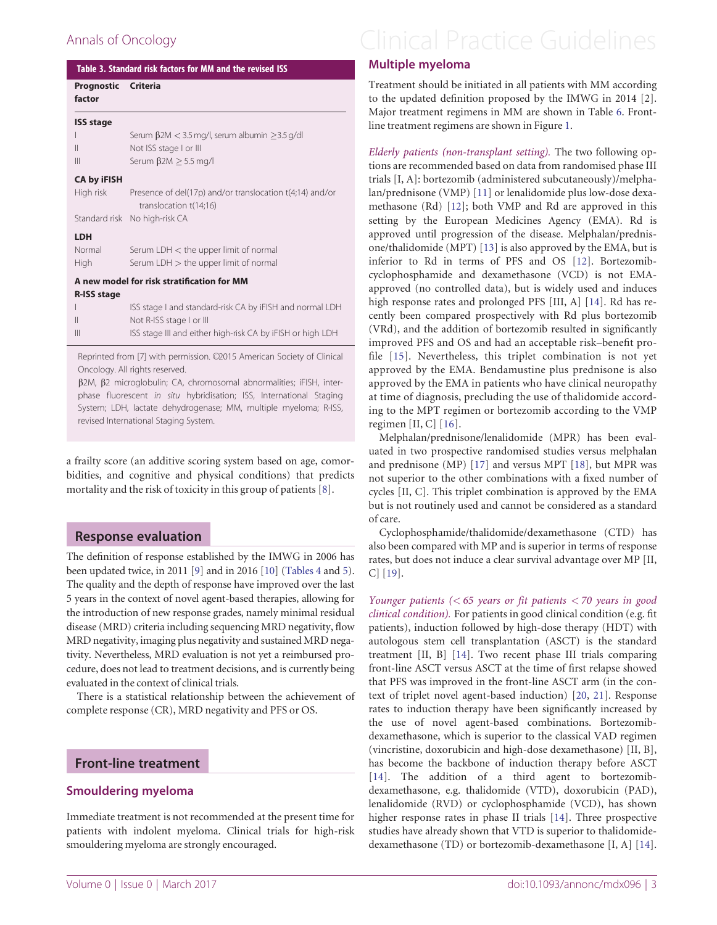| Table 3. Standard risk factors for MM and the revised ISS              |                                                                                      |  |
|------------------------------------------------------------------------|--------------------------------------------------------------------------------------|--|
| Prognostic Criteria                                                    |                                                                                      |  |
| factor                                                                 |                                                                                      |  |
| <b>ISS stage</b>                                                       |                                                                                      |  |
|                                                                        | Serum $\beta$ 2M < 3.5 mg/l, serum albumin $\geq$ 3.5 g/dl                           |  |
| $\mathsf{I}$                                                           | Not ISS stage I or III                                                               |  |
| Ш                                                                      | Serum $\beta$ 2M $\geq$ 5.5 mg/l                                                     |  |
| <b>CA by iFISH</b>                                                     |                                                                                      |  |
| High risk                                                              | Presence of del(17p) and/or translocation t(4;14) and/or<br>translocation $t(14;16)$ |  |
| Standard risk                                                          | No high-risk CA                                                                      |  |
| LDH                                                                    |                                                                                      |  |
| Normal                                                                 | Serum LDH $<$ the upper limit of normal                                              |  |
| High                                                                   | Serum LDH $>$ the upper limit of normal                                              |  |
| A new model for risk stratification for MM                             |                                                                                      |  |
| <b>R-ISS stage</b>                                                     |                                                                                      |  |
| I                                                                      | ISS stage I and standard-risk CA by iFISH and normal LDH                             |  |
| $\mathsf{I}$                                                           | Not R-ISS stage I or III                                                             |  |
| Ш                                                                      | ISS stage III and either high-risk CA by iFISH or high LDH                           |  |
| Reprinted from [7] with permission. ©2015 American Society of Clinical |                                                                                      |  |

Oncology. All rights reserved. b2M, b2 microglobulin; CA, chromosomal abnormalities; iFISH, interphase fluorescent in situ hybridisation; ISS, International Staging System; LDH, lactate dehydrogenase; MM, multiple myeloma; R-ISS, revised International Staging System.

a frailty score (an additive scoring system based on age, comorbidities, and cognitive and physical conditions) that predicts mortality and the risk of toxicity in this group of patients [\[8\]](#page-9-0).

#### Response evaluation

The definition of response established by the IMWG in 2006 has been updated twice, in 2011 [\[9\]](#page-9-0) and in 2016 [[10\]](#page-9-0) ([Tables 4](#page-3-0) and [5](#page-3-0)). The quality and the depth of response have improved over the last 5 years in the context of novel agent-based therapies, allowing for the introduction of new response grades, namely minimal residual disease (MRD) criteria including sequencing MRD negativity, flow MRD negativity, imaging plus negativity and sustained MRD negativity. Nevertheless, MRD evaluation is not yet a reimbursed procedure, does not lead to treatment decisions, and is currently being evaluated in the context of clinical trials.

There is a statistical relationship between the achievement of complete response (CR), MRD negativity and PFS or OS.

#### Front-line treatment

#### Smouldering myeloma

Immediate treatment is not recommended at the present time for patients with indolent myeloma. Clinical trials for high-risk smouldering myeloma are strongly encouraged.

## <span id="page-2-0"></span>Annals of Oncology **Annals of Oncology Clinical Practice Guidelines**

#### Multiple myeloma

Treatment should be initiated in all patients with MM according to the updated definition proposed by the IMWG in 2014 [2]. Major treatment regimens in MM are shown in Table [6](#page-4-0). Frontline treatment regimens are shown in Figure [1](#page-5-0).

Elderly patients (non-transplant setting). The two following options are recommended based on data from randomised phase III trials [I, A]: bortezomib (administered subcutaneously)/melphalan/prednisone (VMP) [[11\]](#page-9-0) or lenalidomide plus low-dose dexamethasone (Rd) [\[12](#page-9-0)]; both VMP and Rd are approved in this setting by the European Medicines Agency (EMA). Rd is approved until progression of the disease. Melphalan/prednisone/thalidomide (MPT) [\[13](#page-9-0)] is also approved by the EMA, but is inferior to Rd in terms of PFS and OS [\[12\]](#page-9-0). Bortezomibcyclophosphamide and dexamethasone (VCD) is not EMAapproved (no controlled data), but is widely used and induces high response rates and prolonged PFS [III, A] [\[14](#page-9-0)]. Rd has recently been compared prospectively with Rd plus bortezomib (VRd), and the addition of bortezomib resulted in significantly improved PFS and OS and had an acceptable risk–benefit profile [[15](#page-9-0)]. Nevertheless, this triplet combination is not yet approved by the EMA. Bendamustine plus prednisone is also approved by the EMA in patients who have clinical neuropathy at time of diagnosis, precluding the use of thalidomide according to the MPT regimen or bortezomib according to the VMP regimen [II, C]  $[16]$  $[16]$  $[16]$ .

Melphalan/prednisone/lenalidomide (MPR) has been evaluated in two prospective randomised studies versus melphalan and prednisone (MP) [\[17](#page-9-0)] and versus MPT [[18\]](#page-9-0), but MPR was not superior to the other combinations with a fixed number of cycles [II, C]. This triplet combination is approved by the EMA but is not routinely used and cannot be considered as a standard of care.

Cyclophosphamide/thalidomide/dexamethasone (CTD) has also been compared with MP and is superior in terms of response rates, but does not induce a clear survival advantage over MP [II, C] [\[19](#page-9-0)].

Younger patients ( $<$  65 years or fit patients  $<$  70 years in good clinical condition). For patients in good clinical condition (e.g. fit patients), induction followed by high-dose therapy (HDT) with autologous stem cell transplantation (ASCT) is the standard treatment [II, B] [[14\]](#page-9-0). Two recent phase III trials comparing front-line ASCT versus ASCT at the time of first relapse showed that PFS was improved in the front-line ASCT arm (in the context of triplet novel agent-based induction) [\[20](#page-9-0), [21](#page-9-0)]. Response rates to induction therapy have been significantly increased by the use of novel agent-based combinations. Bortezomibdexamethasone, which is superior to the classical VAD regimen (vincristine, doxorubicin and high-dose dexamethasone) [II, B], has become the backbone of induction therapy before ASCT [[14\]](#page-9-0). The addition of a third agent to bortezomibdexamethasone, e.g. thalidomide (VTD), doxorubicin (PAD), lenalidomide (RVD) or cyclophosphamide (VCD), has shown higher response rates in phase II trials [\[14\]](#page-9-0). Three prospective studies have already shown that VTD is superior to thalidomidedexamethasone (TD) or bortezomib-dexamethasone [I, A] [\[14](#page-9-0)].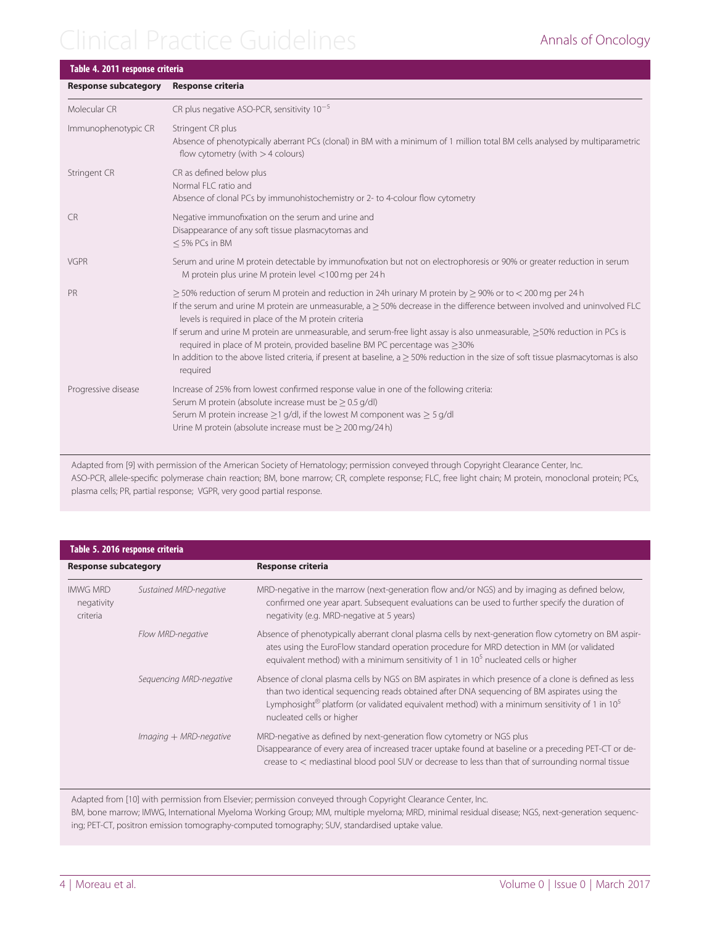<span id="page-3-0"></span>

| Table 4. 2011 response criteria |                                                                                                                                                                                                                                                                                                                                                                                                                                                                                                                                                                                                                                                                   |  |  |  |
|---------------------------------|-------------------------------------------------------------------------------------------------------------------------------------------------------------------------------------------------------------------------------------------------------------------------------------------------------------------------------------------------------------------------------------------------------------------------------------------------------------------------------------------------------------------------------------------------------------------------------------------------------------------------------------------------------------------|--|--|--|
| <b>Response subcategory</b>     | Response criteria                                                                                                                                                                                                                                                                                                                                                                                                                                                                                                                                                                                                                                                 |  |  |  |
| Molecular CR                    | CR plus negative ASO-PCR, sensitivity 10 <sup>-5</sup>                                                                                                                                                                                                                                                                                                                                                                                                                                                                                                                                                                                                            |  |  |  |
| Immunophenotypic CR             | Stringent CR plus<br>Absence of phenotypically aberrant PCs (clonal) in BM with a minimum of 1 million total BM cells analysed by multiparametric<br>flow cytometry (with $>$ 4 colours)                                                                                                                                                                                                                                                                                                                                                                                                                                                                          |  |  |  |
| Stringent CR                    | CR as defined below plus<br>Normal FLC ratio and<br>Absence of clonal PCs by immunohistochemistry or 2- to 4-colour flow cytometry                                                                                                                                                                                                                                                                                                                                                                                                                                                                                                                                |  |  |  |
| <b>CR</b>                       | Negative immunofixation on the serum and urine and<br>Disappearance of any soft tissue plasmacytomas and<br>$<$ 5% PCs in BM                                                                                                                                                                                                                                                                                                                                                                                                                                                                                                                                      |  |  |  |
| <b>VGPR</b>                     | Serum and urine M protein detectable by immunofixation but not on electrophoresis or 90% or greater reduction in serum<br>M protein plus urine M protein level <100 mg per 24 h                                                                                                                                                                                                                                                                                                                                                                                                                                                                                   |  |  |  |
| PR                              | > 50% reduction of serum M protein and reduction in 24h urinary M protein by > 90% or to < 200 mg per 24 h<br>If the serum and urine M protein are unmeasurable, a > 50% decrease in the difference between involved and uninvolved FLC<br>levels is required in place of the M protein criteria<br>If serum and urine M protein are unmeasurable, and serum-free light assay is also unmeasurable, >50% reduction in PCs is<br>required in place of M protein, provided baseline BM PC percentage was >30%<br>In addition to the above listed criteria, if present at baseline, $a > 50%$ reduction in the size of soft tissue plasmacytomas is also<br>required |  |  |  |
| Progressive disease             | Increase of 25% from lowest confirmed response value in one of the following criteria:<br>Serum M protein (absolute increase must be > 0.5 g/dl)<br>Serum M protein increase $>1$ g/dl, if the lowest M component was $> 5$ g/dl<br>Urine M protein (absolute increase must be > 200 mg/24 h)                                                                                                                                                                                                                                                                                                                                                                     |  |  |  |

Adapted from [9] with permission of the American Society of Hematology; permission conveyed through Copyright Clearance Center, Inc. ASO-PCR, allele-specific polymerase chain reaction; BM, bone marrow; CR, complete response; FLC, free light chain; M protein, monoclonal protein; PCs, plasma cells; PR, partial response; VGPR, very good partial response.

| Table 5. 2016 response criteria           |                          |                                                                                                                                                                                                                                                                                                                                                   |  |  |
|-------------------------------------------|--------------------------|---------------------------------------------------------------------------------------------------------------------------------------------------------------------------------------------------------------------------------------------------------------------------------------------------------------------------------------------------|--|--|
| <b>Response subcategory</b>               |                          | Response criteria                                                                                                                                                                                                                                                                                                                                 |  |  |
| <b>IMWG MRD</b><br>negativity<br>criteria | Sustained MRD-negative   | MRD-negative in the marrow (next-generation flow and/or NGS) and by imaging as defined below,<br>confirmed one year apart. Subsequent evaluations can be used to further specify the duration of<br>negativity (e.g. MRD-negative at 5 years)                                                                                                     |  |  |
|                                           | Flow MRD-negative        | Absence of phenotypically aberrant clonal plasma cells by next-generation flow cytometry on BM aspir-<br>ates using the EuroFlow standard operation procedure for MRD detection in MM (or validated<br>equivalent method) with a minimum sensitivity of 1 in 10 <sup>5</sup> nucleated cells or higher                                            |  |  |
|                                           | Sequencing MRD-negative  | Absence of clonal plasma cells by NGS on BM aspirates in which presence of a clone is defined as less<br>than two identical sequencing reads obtained after DNA sequencing of BM aspirates using the<br>Lymphosight <sup>®</sup> platform (or validated equivalent method) with a minimum sensitivity of 1 in $10^5$<br>nucleated cells or higher |  |  |
|                                           | $Imaging + MRD-negative$ | MRD-negative as defined by next-generation flow cytometry or NGS plus<br>Disappearance of every area of increased tracer uptake found at baseline or a preceding PET-CT or de-<br>crease to $\lt$ mediastinal blood pool SUV or decrease to less than that of surrounding normal tissue                                                           |  |  |

Adapted from [10] with permission from Elsevier; permission conveyed through Copyright Clearance Center, Inc.

BM, bone marrow; IMWG, International Myeloma Working Group; MM, multiple myeloma; MRD, minimal residual disease; NGS, next-generation sequencing; PET-CT, positron emission tomography-computed tomography; SUV, standardised uptake value.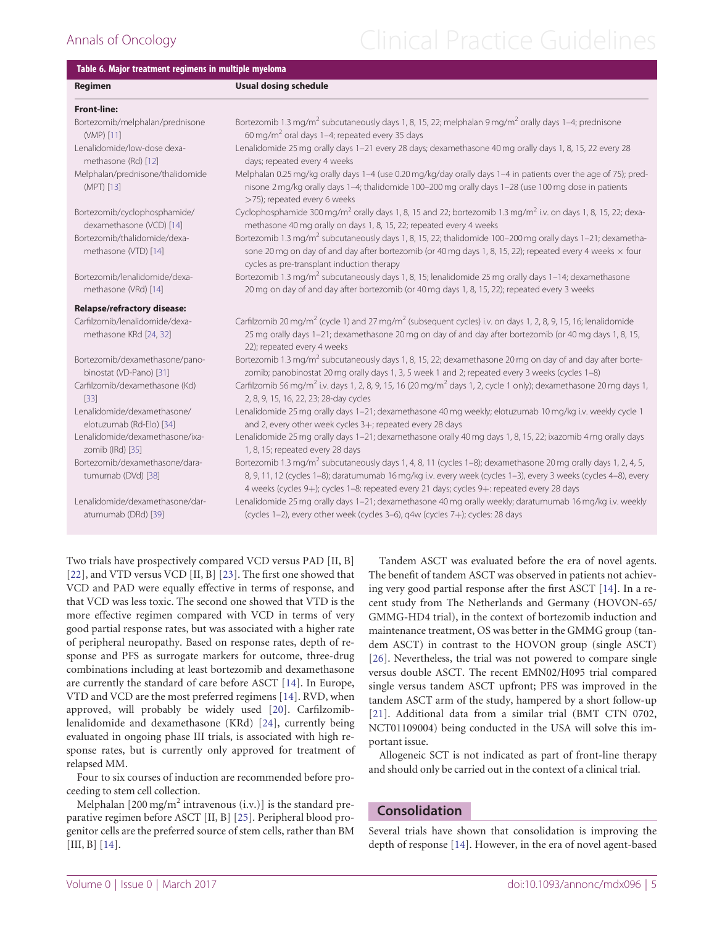Table 6. Major treatment regimens in multiple myeloma

## <span id="page-4-0"></span>Annals of Oncology **Clinical Practice Guidelines**

| Regimen                                                   | <b>Usual dosing schedule</b>                                                                                                                                                                                                                                                                                                                |
|-----------------------------------------------------------|---------------------------------------------------------------------------------------------------------------------------------------------------------------------------------------------------------------------------------------------------------------------------------------------------------------------------------------------|
| <b>Front-line:</b>                                        |                                                                                                                                                                                                                                                                                                                                             |
| Bortezomib/melphalan/prednisone                           | Bortezomib 1.3 mg/m <sup>2</sup> subcutaneously days 1, 8, 15, 22; melphalan 9 mg/m <sup>2</sup> orally days 1–4; prednisone                                                                                                                                                                                                                |
| (VMP) [11]                                                | 60 mg/m <sup>2</sup> oral days 1-4; repeated every 35 days                                                                                                                                                                                                                                                                                  |
| Lenalidomide/low-dose dexa-<br>methasone (Rd) [12]        | Lenalidomide 25 mg orally days 1-21 every 28 days; dexamethasone 40 mg orally days 1, 8, 15, 22 every 28<br>days; repeated every 4 weeks                                                                                                                                                                                                    |
| Melphalan/prednisone/thalidomide<br>(MPT) [13]            | Melphalan 0.25 mg/kg orally days 1-4 (use 0.20 mg/kg/day orally days 1-4 in patients over the age of 75); pred-<br>nisone 2 mg/kg orally days 1-4; thalidomide 100-200 mg orally days 1-28 (use 100 mg dose in patients<br>>75); repeated every 6 weeks                                                                                     |
| Bortezomib/cyclophosphamide/<br>dexamethasone (VCD) [14]  | Cyclophosphamide 300 mg/m <sup>2</sup> orally days 1, 8, 15 and 22; bortezomib 1.3 mg/m <sup>2</sup> i.v. on days 1, 8, 15, 22; dexa-<br>methasone 40 mg orally on days 1, 8, 15, 22; repeated every 4 weeks                                                                                                                                |
| Bortezomib/thalidomide/dexa-<br>methasone (VTD) [14]      | Bortezomib 1.3 mg/m <sup>2</sup> subcutaneously days 1, 8, 15, 22; thalidomide 100-200 mg orally days 1-21; dexametha-<br>sone 20 mg on day of and day after bortezomib (or 40 mg days 1, 8, 15, 22); repeated every 4 weeks $\times$ four<br>cycles as pre-transplant induction therapy                                                    |
| Bortezomib/lenalidomide/dexa-                             | Bortezomib 1.3 mg/m <sup>2</sup> subcutaneously days 1, 8, 15; lenalidomide 25 mg orally days 1-14; dexamethasone                                                                                                                                                                                                                           |
| methasone (VRd) [14]                                      | 20 mg on day of and day after bortezomib (or 40 mg days 1, 8, 15, 22); repeated every 3 weeks                                                                                                                                                                                                                                               |
| Relapse/refractory disease:                               |                                                                                                                                                                                                                                                                                                                                             |
| Carfilzomib/lenalidomide/dexa-<br>methasone KRd [24, 32]  | Carfilzomib 20 mg/m <sup>2</sup> (cycle 1) and 27 mg/m <sup>2</sup> (subsequent cycles) i.v. on days 1, 2, 8, 9, 15, 16; lenalidomide<br>25 mg orally days 1-21; dexamethasone 20 mg on day of and day after bortezomib (or 40 mg days 1, 8, 15,<br>22); repeated every 4 weeks                                                             |
| Bortezomib/dexamethasone/pano-<br>binostat (VD-Pano) [31] | Bortezomib 1.3 mg/m <sup>2</sup> subcutaneously days 1, 8, 15, 22; dexamethasone 20 mg on day of and day after borte-<br>zomib; panobinostat 20 mg orally days 1, 3, 5 week 1 and 2; repeated every 3 weeks (cycles 1-8)                                                                                                                    |
| Carfilzomib/dexamethasone (Kd)<br>[33]                    | Carfilzomib 56 mg/m <sup>2</sup> i.v. days 1, 2, 8, 9, 15, 16 (20 mg/m <sup>2</sup> days 1, 2, cycle 1 only); dexamethasone 20 mg days 1,<br>2, 8, 9, 15, 16, 22, 23; 28-day cycles                                                                                                                                                         |
| Lenalidomide/dexamethasone/<br>elotuzumab (Rd-Elo) [34]   | Lenalidomide 25 mg orally days 1-21; dexamethasone 40 mg weekly; elotuzumab 10 mg/kg i.v. weekly cycle 1<br>and 2, every other week cycles 3+; repeated every 28 days                                                                                                                                                                       |
| Lenalidomide/dexamethasone/ixa-<br>zomib (IRd) [35]       | Lenalidomide 25 mg orally days 1-21; dexamethasone orally 40 mg days 1, 8, 15, 22; ixazomib 4 mg orally days<br>1, 8, 15; repeated every 28 days                                                                                                                                                                                            |
| Bortezomib/dexamethasone/dara-<br>tumumab (DVd) [38]      | Bortezomib 1.3 mg/m <sup>2</sup> subcutaneously days 1, 4, 8, 11 (cycles 1-8); dexamethasone 20 mg orally days 1, 2, 4, 5,<br>8, 9, 11, 12 (cycles 1-8); daratumumab 16 mg/kg i.v. every week (cycles 1-3), every 3 weeks (cycles 4-8), every<br>4 weeks (cycles 9+); cycles 1-8: repeated every 21 days; cycles 9+: repeated every 28 days |
| Lenalidomide/dexamethasone/dar-<br>atumumab (DRd) [39]    | Lenalidomide 25 mg orally days 1-21; dexamethasone 40 mg orally weekly; daratumumab 16 mg/kg i.v. weekly<br>(cycles 1-2), every other week (cycles 3-6), q4w (cycles 7+); cycles: 28 days                                                                                                                                                   |

Two trials have prospectively compared VCD versus PAD [II, B] [\[22](#page-9-0)], and VTD versus VCD [II, B] [\[23](#page-9-0)]. The first one showed that VCD and PAD were equally effective in terms of response, and that VCD was less toxic. The second one showed that VTD is the more effective regimen compared with VCD in terms of very good partial response rates, but was associated with a higher rate of peripheral neuropathy. Based on response rates, depth of response and PFS as surrogate markers for outcome, three-drug combinations including at least bortezomib and dexamethasone are currently the standard of care before ASCT [\[14](#page-9-0)]. In Europe, VTD and VCD are the most preferred regimens [[14\]](#page-9-0). RVD, when approved, will probably be widely used [\[20](#page-9-0)]. Carfilzomiblenalidomide and dexamethasone (KRd) [\[24](#page-9-0)], currently being evaluated in ongoing phase III trials, is associated with high response rates, but is currently only approved for treatment of relapsed MM.

Four to six courses of induction are recommended before proceeding to stem cell collection.

Melphalan  $[200 \,\text{mg/m}^2$  intravenous (i.v.) is the standard preparative regimen before ASCT [II, B] [\[25](#page-9-0)]. Peripheral blood progenitor cells are the preferred source of stem cells, rather than BM  $[III, B] [14].$  $[III, B] [14].$  $[III, B] [14].$ 

Tandem ASCT was evaluated before the era of novel agents. The benefit of tandem ASCT was observed in patients not achieving very good partial response after the first ASCT [[14](#page-9-0)]. In a recent study from The Netherlands and Germany (HOVON-65/ GMMG-HD4 trial), in the context of bortezomib induction and maintenance treatment, OS was better in the GMMG group (tandem ASCT) in contrast to the HOVON group (single ASCT) [[26\]](#page-9-0). Nevertheless, the trial was not powered to compare single versus double ASCT. The recent EMN02/H095 trial compared single versus tandem ASCT upfront; PFS was improved in the tandem ASCT arm of the study, hampered by a short follow-up [[21\]](#page-9-0). Additional data from a similar trial (BMT CTN 0702, NCT01109004) being conducted in the USA will solve this important issue.

Allogeneic SCT is not indicated as part of front-line therapy and should only be carried out in the context of a clinical trial.

### Consolidation

Several trials have shown that consolidation is improving the depth of response [\[14\]](#page-9-0). However, in the era of novel agent-based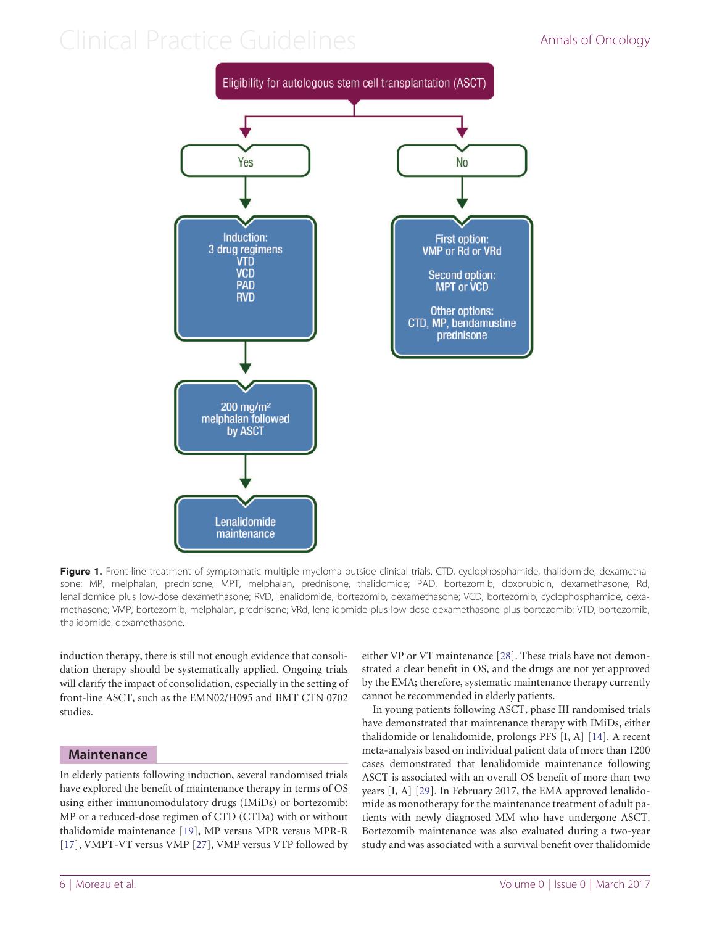<span id="page-5-0"></span>

Figure 1. Front-line treatment of symptomatic multiple myeloma outside clinical trials. CTD, cyclophosphamide, thalidomide, dexamethasone; MP, melphalan, prednisone; MPT, melphalan, prednisone, thalidomide; PAD, bortezomib, doxorubicin, dexamethasone; Rd, lenalidomide plus low-dose dexamethasone; RVD, lenalidomide, bortezomib, dexamethasone; VCD, bortezomib, cyclophosphamide, dexamethasone; VMP, bortezomib, melphalan, prednisone; VRd, lenalidomide plus low-dose dexamethasone plus bortezomib; VTD, bortezomib, thalidomide, dexamethasone.

induction therapy, there is still not enough evidence that consolidation therapy should be systematically applied. Ongoing trials will clarify the impact of consolidation, especially in the setting of front-line ASCT, such as the EMN02/H095 and BMT CTN 0702 studies.

### Maintenance

In elderly patients following induction, several randomised trials have explored the benefit of maintenance therapy in terms of OS using either immunomodulatory drugs (IMiDs) or bortezomib: MP or a reduced-dose regimen of CTD (CTDa) with or without thalidomide maintenance [\[19\]](#page-9-0), MP versus MPR versus MPR-R [[17\]](#page-9-0), VMPT-VT versus VMP [[27\]](#page-9-0), VMP versus VTP followed by either VP or VT maintenance [\[28](#page-9-0)]. These trials have not demonstrated a clear benefit in OS, and the drugs are not yet approved by the EMA; therefore, systematic maintenance therapy currently cannot be recommended in elderly patients.

In young patients following ASCT, phase III randomised trials have demonstrated that maintenance therapy with IMiDs, either thalidomide or lenalidomide, prolongs PFS [I, A] [[14\]](#page-9-0). A recent meta-analysis based on individual patient data of more than 1200 cases demonstrated that lenalidomide maintenance following ASCT is associated with an overall OS benefit of more than two years [I, A] [\[29](#page-9-0)]. In February 2017, the EMA approved lenalidomide as monotherapy for the maintenance treatment of adult patients with newly diagnosed MM who have undergone ASCT. Bortezomib maintenance was also evaluated during a two-year study and was associated with a survival benefit over thalidomide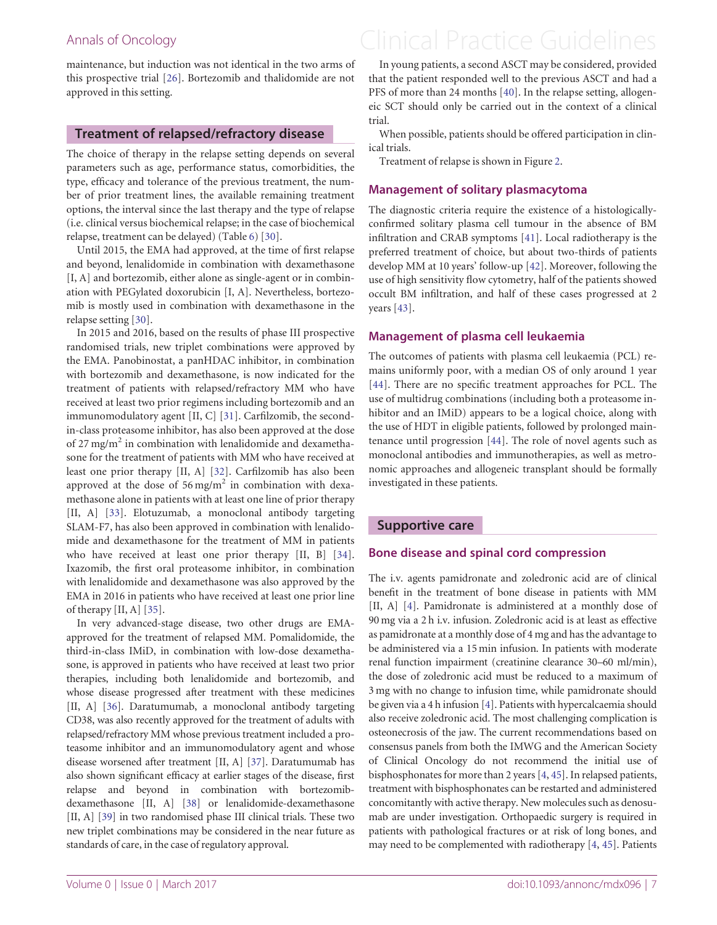maintenance, but induction was not identical in the two arms of this prospective trial [\[26\]](#page-9-0). Bortezomib and thalidomide are not approved in this setting.

#### Treatment of relapsed/refractory disease

The choice of therapy in the relapse setting depends on several parameters such as age, performance status, comorbidities, the type, efficacy and tolerance of the previous treatment, the number of prior treatment lines, the available remaining treatment options, the interval since the last therapy and the type of relapse (i.e. clinical versus biochemical relapse; in the case of biochemical relapse, treatment can be delayed) (Table [6](#page-4-0)) [\[30](#page-9-0)].

Until 2015, the EMA had approved, at the time of first relapse and beyond, lenalidomide in combination with dexamethasone [I, A] and bortezomib, either alone as single-agent or in combination with PEGylated doxorubicin [I, A]. Nevertheless, bortezomib is mostly used in combination with dexamethasone in the relapse setting [[30\]](#page-9-0).

In 2015 and 2016, based on the results of phase III prospective randomised trials, new triplet combinations were approved by the EMA. Panobinostat, a panHDAC inhibitor, in combination with bortezomib and dexamethasone, is now indicated for the treatment of patients with relapsed/refractory MM who have received at least two prior regimens including bortezomib and an immunomodulatory agent [II, C] [\[31](#page-9-0)]. Carfilzomib, the secondin-class proteasome inhibitor, has also been approved at the dose of 27 mg/m<sup>2</sup> in combination with lenalidomide and dexamethasone for the treatment of patients with MM who have received at least one prior therapy [II, A] [[32\]](#page-9-0). Carfilzomib has also been approved at the dose of  $56 \text{ mg/m}^2$  in combination with dexamethasone alone in patients with at least one line of prior therapy [II, A] [\[33](#page-9-0)]. Elotuzumab, a monoclonal antibody targeting SLAM-F7, has also been approved in combination with lenalidomide and dexamethasone for the treatment of MM in patients who have received at least one prior therapy [II, B] [[34](#page-9-0)]. Ixazomib, the first oral proteasome inhibitor, in combination with lenalidomide and dexamethasone was also approved by the EMA in 2016 in patients who have received at least one prior line of therapy  $[II, A]$  [\[35](#page-9-0)].

In very advanced-stage disease, two other drugs are EMAapproved for the treatment of relapsed MM. Pomalidomide, the third-in-class IMiD, in combination with low-dose dexamethasone, is approved in patients who have received at least two prior therapies, including both lenalidomide and bortezomib, and whose disease progressed after treatment with these medicines [II, A] [\[36](#page-9-0)]. Daratumumab, a monoclonal antibody targeting CD38, was also recently approved for the treatment of adults with relapsed/refractory MM whose previous treatment included a proteasome inhibitor and an immunomodulatory agent and whose disease worsened after treatment [II, A] [\[37](#page-9-0)]. Daratumumab has also shown significant efficacy at earlier stages of the disease, first relapse and beyond in combination with bortezomibdexamethasone [II, A] [\[38\]](#page-9-0) or lenalidomide-dexamethasone [II, A] [\[39\]](#page-10-0) in two randomised phase III clinical trials. These two new triplet combinations may be considered in the near future as standards of care, in the case of regulatory approval.

## Annals of Oncology **Annals of Oncology Clinical Practice Guidelines**

In young patients, a second ASCT may be considered, provided that the patient responded well to the previous ASCT and had a PFS of more than 24 months [\[40](#page-10-0)]. In the relapse setting, allogeneic SCT should only be carried out in the context of a clinical trial.

When possible, patients should be offered participation in clinical trials.

Treatment of relapse is shown in Figure [2.](#page-7-0)

#### Management of solitary plasmacytoma

The diagnostic criteria require the existence of a histologicallyconfirmed solitary plasma cell tumour in the absence of BM infiltration and CRAB symptoms [\[41\]](#page-10-0). Local radiotherapy is the preferred treatment of choice, but about two-thirds of patients develop MM at 10 years' follow-up [[42\]](#page-10-0). Moreover, following the use of high sensitivity flow cytometry, half of the patients showed occult BM infiltration, and half of these cases progressed at 2 years [[43\]](#page-10-0).

#### Management of plasma cell leukaemia

The outcomes of patients with plasma cell leukaemia (PCL) remains uniformly poor, with a median OS of only around 1 year [[44\]](#page-10-0). There are no specific treatment approaches for PCL. The use of multidrug combinations (including both a proteasome inhibitor and an IMiD) appears to be a logical choice, along with the use of HDT in eligible patients, followed by prolonged maintenance until progression [\[44](#page-10-0)]. The role of novel agents such as monoclonal antibodies and immunotherapies, as well as metronomic approaches and allogeneic transplant should be formally investigated in these patients.

#### Supportive care

#### Bone disease and spinal cord compression

The i.v. agents pamidronate and zoledronic acid are of clinical benefit in the treatment of bone disease in patients with MM [II, A] [[4](#page-9-0)]. Pamidronate is administered at a monthly dose of 90 mg via a 2 h i.v. infusion. Zoledronic acid is at least as effective as pamidronate at a monthly dose of 4 mg and has the advantage to be administered via a 15 min infusion. In patients with moderate renal function impairment (creatinine clearance 30–60 ml/min), the dose of zoledronic acid must be reduced to a maximum of 3 mg with no change to infusion time, while pamidronate should be given via a 4 h infusion [[4](#page-9-0)]. Patients with hypercalcaemia should also receive zoledronic acid. The most challenging complication is osteonecrosis of the jaw. The current recommendations based on consensus panels from both the IMWG and the American Society of Clinical Oncology do not recommend the initial use of bisphosphonates for more than 2 years [\[4,](#page-9-0) [45\]](#page-10-0). In relapsed patients, treatment with bisphosphonates can be restarted and administered concomitantly with active therapy. New molecules such as denosumab are under investigation. Orthopaedic surgery is required in patients with pathological fractures or at risk of long bones, and may need to be complemented with radiotherapy [\[4,](#page-9-0) [45](#page-10-0)]. Patients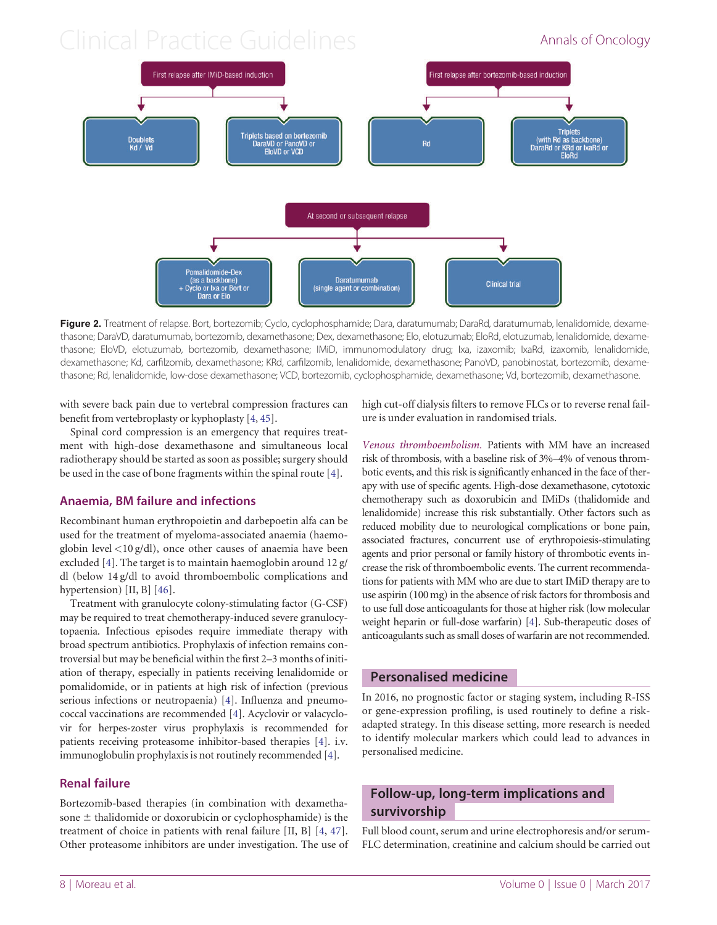<span id="page-7-0"></span>

Figure 2. Treatment of relapse. Bort, bortezomib; Cyclo, cyclophosphamide; Dara, daratumumab; DaraRd, daratumumab, lenalidomide, dexamethasone; DaraVD, daratumumab, bortezomib, dexamethasone; Dex, dexamethasone; Elo, elotuzumab; EloRd, elotuzumab, lenalidomide, dexamethasone; EloVD, elotuzumab, bortezomib, dexamethasone; IMiD, immunomodulatory drug; Ixa, izaxomib; IxaRd, izaxomib, lenalidomide, dexamethasone; Kd, carfilzomib, dexamethasone; KRd, carfilzomib, lenalidomide, dexamethasone; PanoVD, panobinostat, bortezomib, dexamethasone; Rd, lenalidomide, low-dose dexamethasone; VCD, bortezomib, cyclophosphamide, dexamethasone; Vd, bortezomib, dexamethasone.

with severe back pain due to vertebral compression fractures can benefit from vertebroplasty or kyphoplasty [[4](#page-9-0), [45](#page-10-0)].

Spinal cord compression is an emergency that requires treatment with high-dose dexamethasone and simultaneous local radiotherapy should be started as soon as possible; surgery should be used in the case of bone fragments within the spinal route [[4](#page-9-0)].

#### Anaemia, BM failure and infections

Recombinant human erythropoietin and darbepoetin alfa can be used for the treatment of myeloma-associated anaemia (haemoglobin level <10 g/dl), once other causes of anaemia have been excluded [\[4](#page-9-0)]. The target is to maintain haemoglobin around 12 g/ dl (below 14 g/dl to avoid thromboembolic complications and hypertension) [II, B] [[46\]](#page-10-0).

Treatment with granulocyte colony-stimulating factor (G-CSF) may be required to treat chemotherapy-induced severe granulocytopaenia. Infectious episodes require immediate therapy with broad spectrum antibiotics. Prophylaxis of infection remains controversial but may be beneficial within the first 2–3 months of initiation of therapy, especially in patients receiving lenalidomide or pomalidomide, or in patients at high risk of infection (previous serious infections or neutropaenia) [[4\]](#page-9-0). Influenza and pneumococcal vaccinations are recommended [\[4](#page-9-0)]. Acyclovir or valacyclovir for herpes-zoster virus prophylaxis is recommended for patients receiving proteasome inhibitor-based therapies [\[4\]](#page-9-0). i.v. immunoglobulin prophylaxis is not routinely recommended [\[4\]](#page-9-0).

#### Renal failure

Bortezomib-based therapies (in combination with dexamethasone  $\pm$  thalidomide or doxorubicin or cyclophosphamide) is the treatment of choice in patients with renal failure [II, B] [[4](#page-9-0), [47](#page-10-0)]. Other proteasome inhibitors are under investigation. The use of high cut-off dialysis filters to remove FLCs or to reverse renal failure is under evaluation in randomised trials.

Venous thromboembolism. Patients with MM have an increased risk of thrombosis, with a baseline risk of 3%–4% of venous thrombotic events, and this risk is significantly enhanced in the face of therapy with use of specific agents. High-dose dexamethasone, cytotoxic chemotherapy such as doxorubicin and IMiDs (thalidomide and lenalidomide) increase this risk substantially. Other factors such as reduced mobility due to neurological complications or bone pain, associated fractures, concurrent use of erythropoiesis-stimulating agents and prior personal or family history of thrombotic events increase the risk of thromboembolic events. The current recommendations for patients with MM who are due to start IMiD therapy are to use aspirin (100 mg) in the absence of risk factors for thrombosis and to use full dose anticoagulants for those at higher risk (low molecular weight heparin or full-dose warfarin) [\[4](#page-9-0)]. Sub-therapeutic doses of anticoagulants such as small doses of warfarin are not recommended.

#### Personalised medicine

In 2016, no prognostic factor or staging system, including R-ISS or gene-expression profiling, is used routinely to define a riskadapted strategy. In this disease setting, more research is needed to identify molecular markers which could lead to advances in personalised medicine.

### Follow-up, long-term implications and survivorship

Full blood count, serum and urine electrophoresis and/or serum-FLC determination, creatinine and calcium should be carried out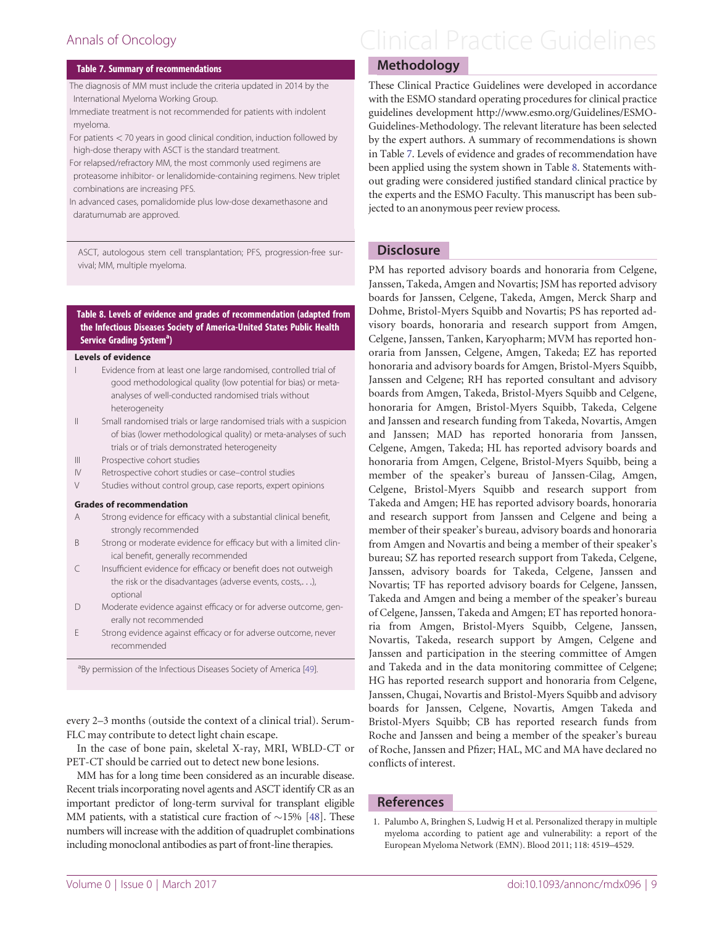#### Table 7. Summary of recommendations

- The diagnosis of MM must include the criteria updated in 2014 by the International Myeloma Working Group.
- Immediate treatment is not recommended for patients with indolent myeloma.
- For patients < 70 years in good clinical condition, induction followed by high-dose therapy with ASCT is the standard treatment.
- For relapsed/refractory MM, the most commonly used regimens are proteasome inhibitor- or lenalidomide-containing regimens. New triplet combinations are increasing PFS.
- In advanced cases, pomalidomide plus low-dose dexamethasone and daratumumab are approved.

ASCT, autologous stem cell transplantation; PFS, progression-free survival; MM, multiple myeloma.

#### Table 8. Levels of evidence and grades of recommendation (adapted from the Infectious Diseases Society of America-United States Public Health Service Grading System<sup>a</sup>)

#### Levels of evidence

- Evidence from at least one large randomised, controlled trial of good methodological quality (low potential for bias) or metaanalyses of well-conducted randomised trials without heterogeneity
- II Small randomised trials or large randomised trials with a suspicion of bias (lower methodological quality) or meta-analyses of such trials or of trials demonstrated heterogeneity
- III Prospective cohort studies
- IV Retrospective cohort studies or case–control studies
- V Studies without control group, case reports, expert opinions

#### Grades of recommendation

- A Strong evidence for efficacy with a substantial clinical benefit, strongly recommended
- B Strong or moderate evidence for efficacy but with a limited clinical benefit, generally recommended
- C Insufficient evidence for efficacy or benefit does not outweigh the risk or the disadvantages (adverse events, costs,...), optional
- D Moderate evidence against efficacy or for adverse outcome, generally not recommended
- E Strong evidence against efficacy or for adverse outcome, never recommended

<sup>a</sup>By permission of the Infectious Diseases Society of America [[49](#page-10-0)].

every 2–3 months (outside the context of a clinical trial). Serum-FLC may contribute to detect light chain escape.

In the case of bone pain, skeletal X-ray, MRI, WBLD-CT or PET-CT should be carried out to detect new bone lesions.

MM has for a long time been considered as an incurable disease. Recent trials incorporating novel agents and ASCT identify CR as an important predictor of long-term survival for transplant eligible MM patients, with a statistical cure fraction of  $\sim$ 15% [\[48](#page-10-0)]. These numbers will increase with the addition of quadruplet combinations including monoclonal antibodies as part of front-line therapies.

# <span id="page-8-0"></span>Annals of Oncology **Annals of Oncology Clinical Practice Guidelines**

### Methodology

These Clinical Practice Guidelines were developed in accordance with the ESMO standard operating procedures for clinical practice guidelines development [http://www.esmo.org/Guidelines/ESMO-](http://www.esmo.org/Guidelines/ESMO-Guidelines-Methodology)[Guidelines-Methodology.](http://www.esmo.org/Guidelines/ESMO-Guidelines-Methodology) The relevant literature has been selected by the expert authors. A summary of recommendations is shown in Table 7. Levels of evidence and grades of recommendation have been applied using the system shown in Table 8. Statements without grading were considered justified standard clinical practice by the experts and the ESMO Faculty. This manuscript has been subjected to an anonymous peer review process.

#### **Disclosure**

PM has reported advisory boards and honoraria from Celgene, Janssen, Takeda, Amgen and Novartis; JSM has reported advisory boards for Janssen, Celgene, Takeda, Amgen, Merck Sharp and Dohme, Bristol-Myers Squibb and Novartis; PS has reported advisory boards, honoraria and research support from Amgen, Celgene, Janssen, Tanken, Karyopharm; MVM has reported honoraria from Janssen, Celgene, Amgen, Takeda; EZ has reported honoraria and advisory boards for Amgen, Bristol-Myers Squibb, Janssen and Celgene; RH has reported consultant and advisory boards from Amgen, Takeda, Bristol-Myers Squibb and Celgene, honoraria for Amgen, Bristol-Myers Squibb, Takeda, Celgene and Janssen and research funding from Takeda, Novartis, Amgen and Janssen; MAD has reported honoraria from Janssen, Celgene, Amgen, Takeda; HL has reported advisory boards and honoraria from Amgen, Celgene, Bristol-Myers Squibb, being a member of the speaker's bureau of Janssen-Cilag, Amgen, Celgene, Bristol-Myers Squibb and research support from Takeda and Amgen; HE has reported advisory boards, honoraria and research support from Janssen and Celgene and being a member of their speaker's bureau, advisory boards and honoraria from Amgen and Novartis and being a member of their speaker's bureau; SZ has reported research support from Takeda, Celgene, Janssen, advisory boards for Takeda, Celgene, Janssen and Novartis; TF has reported advisory boards for Celgene, Janssen, Takeda and Amgen and being a member of the speaker's bureau of Celgene, Janssen, Takeda and Amgen; ET has reported honoraria from Amgen, Bristol-Myers Squibb, Celgene, Janssen, Novartis, Takeda, research support by Amgen, Celgene and Janssen and participation in the steering committee of Amgen and Takeda and in the data monitoring committee of Celgene; HG has reported research support and honoraria from Celgene, Janssen, Chugai, Novartis and Bristol-Myers Squibb and advisory boards for Janssen, Celgene, Novartis, Amgen Takeda and Bristol-Myers Squibb; CB has reported research funds from Roche and Janssen and being a member of the speaker's bureau of Roche, Janssen and Pfizer; HAL, MC and MA have declared no conflicts of interest.

#### References

<sup>1.</sup> Palumbo A, Bringhen S, Ludwig H et al. Personalized therapy in multiple myeloma according to patient age and vulnerability: a report of the European Myeloma Network (EMN). Blood 2011; 118: 4519–4529.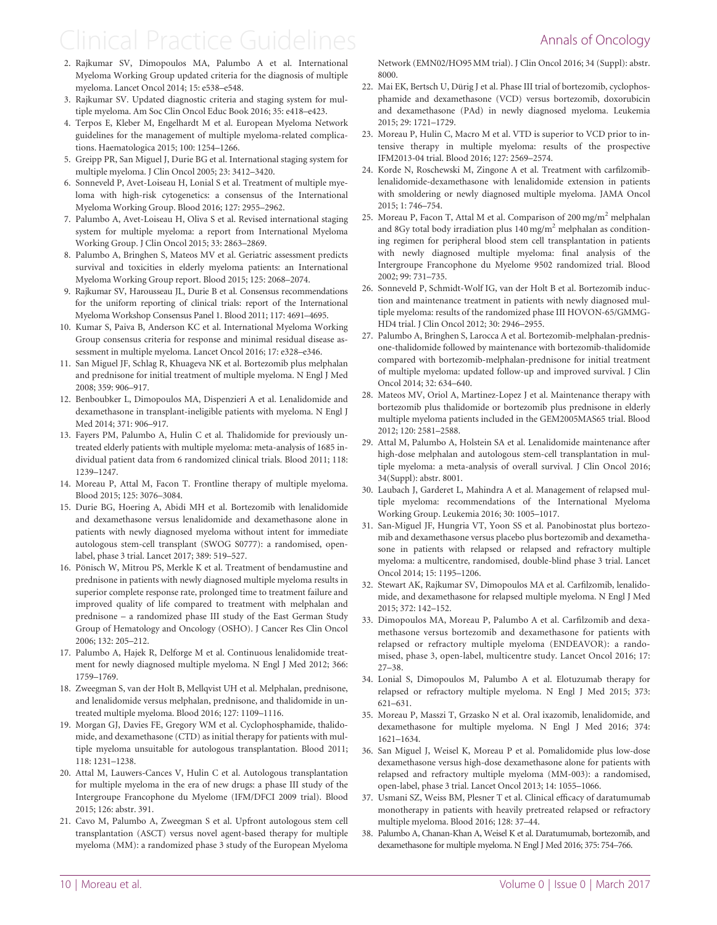- <span id="page-9-0"></span>2. Rajkumar SV, Dimopoulos MA, Palumbo A et al. International Myeloma Working Group updated criteria for the diagnosis of multiple myeloma. Lancet Oncol 2014; 15: e538–e548.
- 3. Rajkumar SV. Updated diagnostic criteria and staging system for multiple myeloma. Am Soc Clin Oncol Educ Book 2016; 35: e418–e423.
- 4. Terpos E, Kleber M, Engelhardt M et al. European Myeloma Network guidelines for the management of multiple myeloma-related complications. Haematologica 2015; 100: 1254–1266.
- 5. Greipp PR, San Miguel J, Durie BG et al. International staging system for multiple myeloma. J Clin Oncol 2005; 23: 3412–3420.
- 6. Sonneveld P, Avet-Loiseau H, Lonial S et al. Treatment of multiple myeloma with high-risk cytogenetics: a consensus of the International Myeloma Working Group. Blood 2016; 127: 2955–2962.
- 7. Palumbo A, Avet-Loiseau H, Oliva S et al. Revised international staging system for multiple myeloma: a report from International Myeloma Working Group. J Clin Oncol 2015; 33: 2863–2869.
- 8. Palumbo A, Bringhen S, Mateos MV et al. Geriatric assessment predicts survival and toxicities in elderly myeloma patients: an International Myeloma Working Group report. Blood 2015; 125: 2068–2074.
- 9. Rajkumar SV, Harousseau JL, Durie B et al. Consensus recommendations for the uniform reporting of clinical trials: report of the International Myeloma Workshop Consensus Panel 1. Blood 2011; 117: 4691–4695.
- 10. Kumar S, Paiva B, Anderson KC et al. International Myeloma Working Group consensus criteria for response and minimal residual disease assessment in multiple myeloma. Lancet Oncol 2016; 17: e328–e346.
- 11. San Miguel JF, Schlag R, Khuageva NK et al. Bortezomib plus melphalan and prednisone for initial treatment of multiple myeloma. N Engl J Med 2008; 359: 906–917.
- 12. Benboubker L, Dimopoulos MA, Dispenzieri A et al. Lenalidomide and dexamethasone in transplant-ineligible patients with myeloma. N Engl J Med 2014; 371: 906–917.
- 13. Fayers PM, Palumbo A, Hulin C et al. Thalidomide for previously untreated elderly patients with multiple myeloma: meta-analysis of 1685 individual patient data from 6 randomized clinical trials. Blood 2011; 118: 1239–1247.
- 14. Moreau P, Attal M, Facon T. Frontline therapy of multiple myeloma. Blood 2015; 125: 3076–3084.
- 15. Durie BG, Hoering A, Abidi MH et al. Bortezomib with lenalidomide and dexamethasone versus lenalidomide and dexamethasone alone in patients with newly diagnosed myeloma without intent for immediate autologous stem-cell transplant (SWOG S0777): a randomised, openlabel, phase 3 trial. Lancet 2017; 389: 519–527.
- 16. Pönisch W, Mitrou PS, Merkle K et al. Treatment of bendamustine and prednisone in patients with newly diagnosed multiple myeloma results in superior complete response rate, prolonged time to treatment failure and improved quality of life compared to treatment with melphalan and prednisone – a randomized phase III study of the East German Study Group of Hematology and Oncology (OSHO). J Cancer Res Clin Oncol 2006; 132: 205–212.
- 17. Palumbo A, Hajek R, Delforge M et al. Continuous lenalidomide treatment for newly diagnosed multiple myeloma. N Engl J Med 2012; 366: 1759–1769.
- 18. Zweegman S, van der Holt B, Mellqvist UH et al. Melphalan, prednisone, and lenalidomide versus melphalan, prednisone, and thalidomide in untreated multiple myeloma. Blood 2016; 127: 1109–1116.
- 19. Morgan GJ, Davies FE, Gregory WM et al. Cyclophosphamide, thalidomide, and dexamethasone (CTD) as initial therapy for patients with multiple myeloma unsuitable for autologous transplantation. Blood 2011; 118: 1231–1238.
- 20. Attal M, Lauwers-Cances V, Hulin C et al. Autologous transplantation for multiple myeloma in the era of new drugs: a phase III study of the Intergroupe Francophone du Myelome (IFM/DFCI 2009 trial). Blood 2015; 126: abstr. 391.
- 21. Cavo M, Palumbo A, Zweegman S et al. Upfront autologous stem cell transplantation (ASCT) versus novel agent-based therapy for multiple myeloma (MM): a randomized phase 3 study of the European Myeloma

Network (EMN02/HO95 MM trial). J Clin Oncol 2016; 34 (Suppl): abstr. 8000.

- 22. Mai EK, Bertsch U, Dürig J et al. Phase III trial of bortezomib, cyclophosphamide and dexamethasone (VCD) versus bortezomib, doxorubicin and dexamethasone (PAd) in newly diagnosed myeloma. Leukemia 2015; 29: 1721–1729.
- 23. Moreau P, Hulin C, Macro M et al. VTD is superior to VCD prior to intensive therapy in multiple myeloma: results of the prospective IFM2013-04 trial. Blood 2016; 127: 2569–2574.
- 24. Korde N, Roschewski M, Zingone A et al. Treatment with carfilzomiblenalidomide-dexamethasone with lenalidomide extension in patients with smoldering or newly diagnosed multiple myeloma. JAMA Oncol 2015; 1: 746–754.
- 25. Moreau P, Facon T, Attal M et al. Comparison of 200 mg/m<sup>2</sup> melphalan and 8Gy total body irradiation plus  $140 \text{ mg/m}^2$  melphalan as conditioning regimen for peripheral blood stem cell transplantation in patients with newly diagnosed multiple myeloma: final analysis of the Intergroupe Francophone du Myelome 9502 randomized trial. Blood 2002; 99: 731–735.
- 26. Sonneveld P, Schmidt-Wolf IG, van der Holt B et al. Bortezomib induction and maintenance treatment in patients with newly diagnosed multiple myeloma: results of the randomized phase III HOVON-65/GMMG-HD4 trial. J Clin Oncol 2012; 30: 2946–2955.
- 27. Palumbo A, Bringhen S, Larocca A et al. Bortezomib-melphalan-prednisone-thalidomide followed by maintenance with bortezomib-thalidomide compared with bortezomib-melphalan-prednisone for initial treatment of multiple myeloma: updated follow-up and improved survival. J Clin Oncol 2014; 32: 634–640.
- 28. Mateos MV, Oriol A, Martinez-Lopez J et al. Maintenance therapy with bortezomib plus thalidomide or bortezomib plus prednisone in elderly multiple myeloma patients included in the GEM2005MAS65 trial. Blood 2012; 120: 2581–2588.
- 29. Attal M, Palumbo A, Holstein SA et al. Lenalidomide maintenance after high-dose melphalan and autologous stem-cell transplantation in multiple myeloma: a meta-analysis of overall survival. J Clin Oncol 2016; 34(Suppl): abstr. 8001.
- 30. Laubach J, Garderet L, Mahindra A et al. Management of relapsed multiple myeloma: recommendations of the International Myeloma Working Group. Leukemia 2016; 30: 1005–1017.
- 31. San-Miguel JF, Hungria VT, Yoon SS et al. Panobinostat plus bortezomib and dexamethasone versus placebo plus bortezomib and dexamethasone in patients with relapsed or relapsed and refractory multiple myeloma: a multicentre, randomised, double-blind phase 3 trial. Lancet Oncol 2014; 15: 1195–1206.
- 32. Stewart AK, Rajkumar SV, Dimopoulos MA et al. Carfilzomib, lenalidomide, and dexamethasone for relapsed multiple myeloma. N Engl J Med 2015; 372: 142–152.
- 33. Dimopoulos MA, Moreau P, Palumbo A et al. Carfilzomib and dexamethasone versus bortezomib and dexamethasone for patients with relapsed or refractory multiple myeloma (ENDEAVOR): a randomised, phase 3, open-label, multicentre study. Lancet Oncol 2016; 17: 27–38.
- 34. Lonial S, Dimopoulos M, Palumbo A et al. Elotuzumab therapy for relapsed or refractory multiple myeloma. N Engl J Med 2015; 373: 621–631.
- 35. Moreau P, Masszi T, Grzasko N et al. Oral ixazomib, lenalidomide, and dexamethasone for multiple myeloma. N Engl J Med 2016; 374: 1621–1634.
- 36. San Miguel J, Weisel K, Moreau P et al. Pomalidomide plus low-dose dexamethasone versus high-dose dexamethasone alone for patients with relapsed and refractory multiple myeloma (MM-003): a randomised, open-label, phase 3 trial. Lancet Oncol 2013; 14: 1055–1066.
- 37. Usmani SZ, Weiss BM, Plesner T et al. Clinical efficacy of daratumumab monotherapy in patients with heavily pretreated relapsed or refractory multiple myeloma. Blood 2016; 128: 37–44.
- 38. Palumbo A, Chanan-Khan A, Weisel K et al. Daratumumab, bortezomib, and dexamethasone for multiple myeloma. N Engl J Med 2016; 375: 754–766.